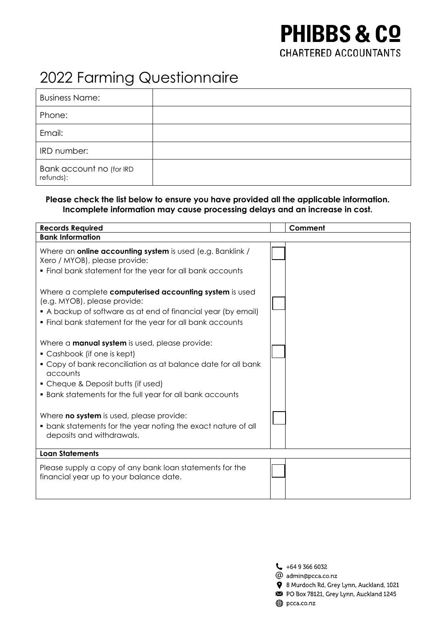# **PHIBBS & CO CHARTERED ACCOUNTANTS**

# 2022 Farming Questionnaire

| <b>Business Name:</b>                 |  |
|---------------------------------------|--|
| Phone:                                |  |
| Email:                                |  |
| IRD number:                           |  |
| Bank account no (for IRD<br>refunds): |  |

### **Please check the list below to ensure you have provided all the applicable information. Incomplete information may cause processing delays and an increase in cost.**

| <b>Records Required</b>                                                                                                                                                                                                                                              | Comment |
|----------------------------------------------------------------------------------------------------------------------------------------------------------------------------------------------------------------------------------------------------------------------|---------|
| <b>Bank Information</b>                                                                                                                                                                                                                                              |         |
| Where an online accounting system is used (e.g. Banklink /<br>Xero / MYOB), please provide:<br>. Final bank statement for the year for all bank accounts                                                                                                             |         |
| Where a complete computerised accounting system is used<br>(e.g. MYOB), please provide:<br>• A backup of software as at end of financial year (by email)<br>. Final bank statement for the year for all bank accounts                                                |         |
| Where a <b>manual system</b> is used, please provide:<br>• Cashbook (if one is kept)<br>• Copy of bank reconciliation as at balance date for all bank<br>accounts<br>• Cheque & Deposit butts (if used)<br>• Bank statements for the full year for all bank accounts |         |
| Where <b>no system</b> is used, please provide:<br>• bank statements for the year noting the exact nature of all<br>deposits and withdrawals.                                                                                                                        |         |
| <b>Loan Statements</b>                                                                                                                                                                                                                                               |         |
| Please supply a copy of any bank loan statements for the<br>financial year up to your balance date.                                                                                                                                                                  |         |

 $\begin{array}{c} \begin{array}{c} \end{array}$  +64 9 366 6032

- @ admin@pcca.co.nz
- 8 Murdoch Rd, Grey Lynn, Auckland, 1021
- PO Box 78121, Grey Lynn, Auckland 1245
- pcca.co.nz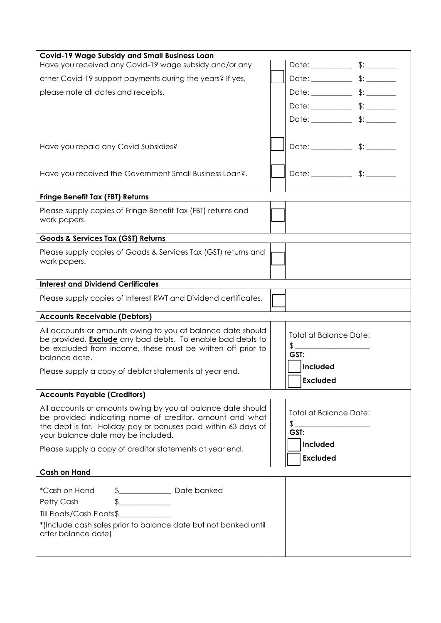| <b>Covid-19 Wage Subsidy and Small Business Loan</b>                                                                             |  |                               |  |
|----------------------------------------------------------------------------------------------------------------------------------|--|-------------------------------|--|
| Have you received any Covid-19 wage subsidy and/or any                                                                           |  |                               |  |
| other Covid-19 support payments during the years? If yes,                                                                        |  |                               |  |
| please note all dates and receipts.                                                                                              |  |                               |  |
|                                                                                                                                  |  |                               |  |
|                                                                                                                                  |  |                               |  |
|                                                                                                                                  |  |                               |  |
| Have you repaid any Covid Subsidies?                                                                                             |  |                               |  |
|                                                                                                                                  |  |                               |  |
| Have you received the Government Small Business Loan?.                                                                           |  |                               |  |
|                                                                                                                                  |  |                               |  |
| <b>Fringe Benefit Tax (FBT) Returns</b>                                                                                          |  |                               |  |
| Please supply copies of Fringe Benefit Tax (FBT) returns and                                                                     |  |                               |  |
| work papers.                                                                                                                     |  |                               |  |
| Goods & Services Tax (GST) Returns                                                                                               |  |                               |  |
| Please supply copies of Goods & Services Tax (GST) returns and                                                                   |  |                               |  |
| work papers.                                                                                                                     |  |                               |  |
|                                                                                                                                  |  |                               |  |
| <b>Interest and Dividend Certificates</b>                                                                                        |  |                               |  |
| Please supply copies of Interest RWT and Dividend certificates.                                                                  |  |                               |  |
| <b>Accounts Receivable (Debtors)</b>                                                                                             |  |                               |  |
| All accounts or amounts owing to you at balance date should                                                                      |  | <b>Total at Balance Date:</b> |  |
| be provided. <b>Exclude</b> any bad debts. To enable bad debts to<br>be excluded from income, these must be written off prior to |  | \$.                           |  |
| balance date.                                                                                                                    |  | GST:                          |  |
| Please supply a copy of debtor statements at year end.                                                                           |  | Included                      |  |
|                                                                                                                                  |  | <b>Excluded</b>               |  |
| <b>Accounts Payable (Creditors)</b>                                                                                              |  |                               |  |
| All accounts or amounts owing by you at balance date should                                                                      |  | <b>Total at Balance Date:</b> |  |
| be provided indicating name of creditor, amount and what<br>the debt is for. Holiday pay or bonuses paid within 63 days of       |  | \$.                           |  |
| your balance date may be included.                                                                                               |  | GST:                          |  |
| Please supply a copy of creditor statements at year end.                                                                         |  | Included                      |  |
|                                                                                                                                  |  | <b>Excluded</b>               |  |
| <b>Cash on Hand</b>                                                                                                              |  |                               |  |
| *Cash on Hand                                                                                                                    |  |                               |  |
| $\frac{1}{\sqrt{2}}$<br>Petty Cash                                                                                               |  |                               |  |
| Till Floats/Cash Floats\$                                                                                                        |  |                               |  |
| *(Include cash sales prior to balance date but not banked until                                                                  |  |                               |  |
| after balance date)                                                                                                              |  |                               |  |
|                                                                                                                                  |  |                               |  |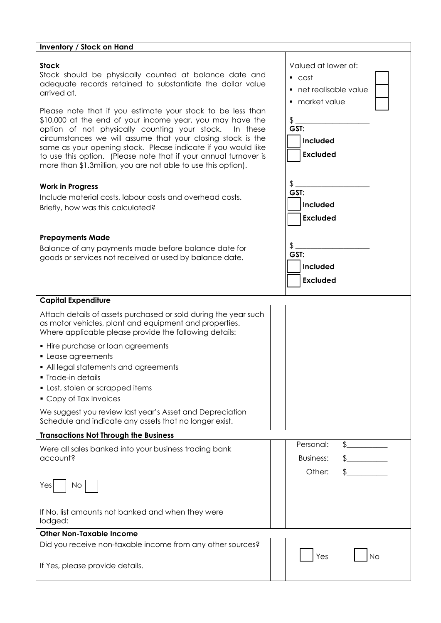#### **Inventory / Stock on Hand Stock** Stock should be physically counted at balance date and adequate records retained to substantiate the dollar value arrived at. Please note that if you estimate your stock to be less than \$10,000 at the end of your income year, you may have the option of not physically counting your stock. In these circumstances we will assume that your closing stock is the same as your opening stock. Please indicate if you would like to use this option. (Please note that if your annual turnover is more than \$1.3million, you are not able to use this option). Valued at lower of: cost net realisable value market value \$ \_\_\_\_\_\_\_\_\_\_\_\_\_\_\_\_\_\_\_\_ **GST: Included Excluded Work in Progress** Include material costs, labour costs and overhead costs. Briefly, how was this calculated? **Prepayments Made** Balance of any payments made before balance date for goods or services not received or used by balance date.  $\text{\$}$   $\text{\_}$ **GST: Included Excluded**  $\text{\$}$   $\text{\_}$ **GST: Included Excluded Capital Expenditure** Attach details of assets purchased or sold during the year such as motor vehicles, plant and equipment and properties. Where applicable please provide the following details: • Hire purchase or loan agreements **Lease agreements**  All legal statements and agreements **Trade-in details Lost, stolen or scrapped items**  Copy of Tax Invoices We suggest you review last year's Asset and Depreciation Schedule and indicate any assets that no longer exist. **Transactions Not Through the Business**  Were all sales banked into your business trading bank account? Yes | No If No, list amounts not banked and when they were lodged: Personal: \$ Business: \$\_\_\_\_\_\_\_\_\_\_\_ Other: \$ **Other Non-Taxable Income** Did you receive non-taxable income from any other sources? Yes I INo

If Yes, please provide details.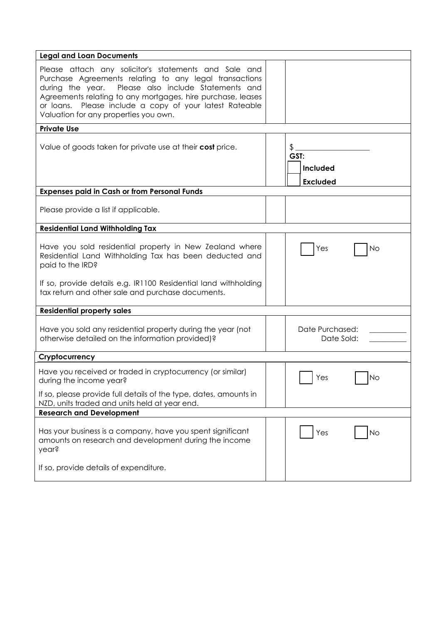| <b>Legal and Loan Documents</b>                                                                                                                                                                                                                                                                                                           |                                           |
|-------------------------------------------------------------------------------------------------------------------------------------------------------------------------------------------------------------------------------------------------------------------------------------------------------------------------------------------|-------------------------------------------|
| Please attach any solicitor's statements and Sale and<br>Purchase Agreements relating to any legal transactions<br>during the year. Please also include Statements and<br>Agreements relating to any mortgages, hire purchase, leases<br>or loans. Please include a copy of your latest Rateable<br>Valuation for any properties you own. |                                           |
| <b>Private Use</b>                                                                                                                                                                                                                                                                                                                        |                                           |
| Value of goods taken for private use at their cost price.                                                                                                                                                                                                                                                                                 | \$<br>GST:<br>Included<br><b>Excluded</b> |
| <b>Expenses paid in Cash or from Personal Funds</b>                                                                                                                                                                                                                                                                                       |                                           |
| Please provide a list if applicable.                                                                                                                                                                                                                                                                                                      |                                           |
| <b>Residential Land Withholding Tax</b>                                                                                                                                                                                                                                                                                                   |                                           |
| Have you sold residential property in New Zealand where<br>Residential Land Withholding Tax has been deducted and<br>paid to the IRD?<br>If so, provide details e.g. IR1100 Residential land withholding                                                                                                                                  | Yes<br>No                                 |
| tax return and other sale and purchase documents.                                                                                                                                                                                                                                                                                         |                                           |
| <b>Residential property sales</b>                                                                                                                                                                                                                                                                                                         |                                           |
| Have you sold any residential property during the year (not<br>otherwise detailed on the information provided)?                                                                                                                                                                                                                           | Date Purchased:<br>Date Sold:             |
| Cryptocurrency                                                                                                                                                                                                                                                                                                                            |                                           |
| Have you received or traded in cryptocurrency (or similar)<br>during the income year?                                                                                                                                                                                                                                                     | Yes<br>lNo                                |
| If so, please provide full details of the type, dates, amounts in<br>NZD, units traded and units held at year end.                                                                                                                                                                                                                        |                                           |
| <b>Research and Development</b>                                                                                                                                                                                                                                                                                                           |                                           |
| Has your business is a company, have you spent significant<br>amounts on research and development during the income<br>year?                                                                                                                                                                                                              | Yes<br><b>No</b>                          |
| If so, provide details of expenditure.                                                                                                                                                                                                                                                                                                    |                                           |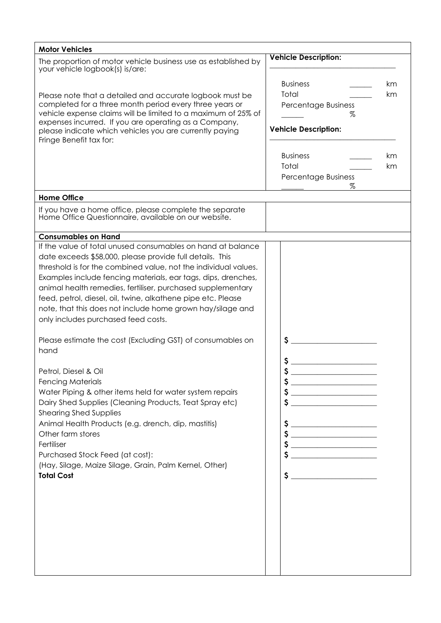| <b>Motor Vehicles</b>                                                                                                                                                                                                                                                                                                                                                                                                                                                                                                                                                                                                                                                                                                                                                                                                                                                                                                                                                                         |                                                                                                                                                                                                                                                                                                                                                                               |
|-----------------------------------------------------------------------------------------------------------------------------------------------------------------------------------------------------------------------------------------------------------------------------------------------------------------------------------------------------------------------------------------------------------------------------------------------------------------------------------------------------------------------------------------------------------------------------------------------------------------------------------------------------------------------------------------------------------------------------------------------------------------------------------------------------------------------------------------------------------------------------------------------------------------------------------------------------------------------------------------------|-------------------------------------------------------------------------------------------------------------------------------------------------------------------------------------------------------------------------------------------------------------------------------------------------------------------------------------------------------------------------------|
| The proportion of motor vehicle business use as established by<br>your vehicle logbook(s) is/are:                                                                                                                                                                                                                                                                                                                                                                                                                                                                                                                                                                                                                                                                                                                                                                                                                                                                                             | <b>Vehicle Description:</b>                                                                                                                                                                                                                                                                                                                                                   |
| Please note that a detailed and accurate logbook must be<br>completed for a three month period every three years or<br>vehicle expense claims will be limited to a maximum of 25% of<br>expenses incurred. If you are operating as a Company,<br>please indicate which vehicles you are currently paying<br>Fringe Benefit tax for:                                                                                                                                                                                                                                                                                                                                                                                                                                                                                                                                                                                                                                                           | <b>Business</b><br>km<br>Total<br>km<br>Percentage Business<br>Z<br><b>Vehicle Description:</b>                                                                                                                                                                                                                                                                               |
|                                                                                                                                                                                                                                                                                                                                                                                                                                                                                                                                                                                                                                                                                                                                                                                                                                                                                                                                                                                               | <b>Business</b><br>km<br>Total<br>km<br>Percentage Business<br>%                                                                                                                                                                                                                                                                                                              |
| <b>Home Office</b>                                                                                                                                                                                                                                                                                                                                                                                                                                                                                                                                                                                                                                                                                                                                                                                                                                                                                                                                                                            |                                                                                                                                                                                                                                                                                                                                                                               |
| If you have a home office, please complete the separate<br>Home Office Questionnaire, available on our website.                                                                                                                                                                                                                                                                                                                                                                                                                                                                                                                                                                                                                                                                                                                                                                                                                                                                               |                                                                                                                                                                                                                                                                                                                                                                               |
| <b>Consumables on Hand</b>                                                                                                                                                                                                                                                                                                                                                                                                                                                                                                                                                                                                                                                                                                                                                                                                                                                                                                                                                                    |                                                                                                                                                                                                                                                                                                                                                                               |
| If the value of total unused consumables on hand at balance<br>date exceeds \$58,000, please provide full details. This<br>threshold is for the combined value, not the individual values.<br>Examples include fencing materials, ear tags, dips, drenches,<br>animal health remedies, fertiliser, purchased supplementary<br>feed, petrol, diesel, oil, twine, alkathene pipe etc. Please<br>note, that this does not include home grown hay/silage and<br>only includes purchased feed costs.<br>Please estimate the cost (Excluding GST) of consumables on<br>hand<br>Petrol, Diesel & Oil<br><b>Fencing Materials</b><br>Water Piping & other items held for water system repairs<br>Dairy Shed Supplies (Cleaning Products, Teat Spray etc)<br><b>Shearing Shed Supplies</b><br>Animal Health Products (e.g. drench, dip, mastitis)<br>Other farm stores<br>Fertiliser<br>Purchased Stock Feed (at cost):<br>(Hay, Silage, Maize Silage, Grain, Palm Kernel, Other)<br><b>Total Cost</b> | \$<br>$\sim$<br>$\begin{picture}(20,10) \put(0,0){\line(1,0){10}} \put(15,0){\line(1,0){10}} \put(15,0){\line(1,0){10}} \put(15,0){\line(1,0){10}} \put(15,0){\line(1,0){10}} \put(15,0){\line(1,0){10}} \put(15,0){\line(1,0){10}} \put(15,0){\line(1,0){10}} \put(15,0){\line(1,0){10}} \put(15,0){\line(1,0){10}} \put(15,0){\line(1,0){10}} \put(15,0){\line(1$<br>$\sim$ |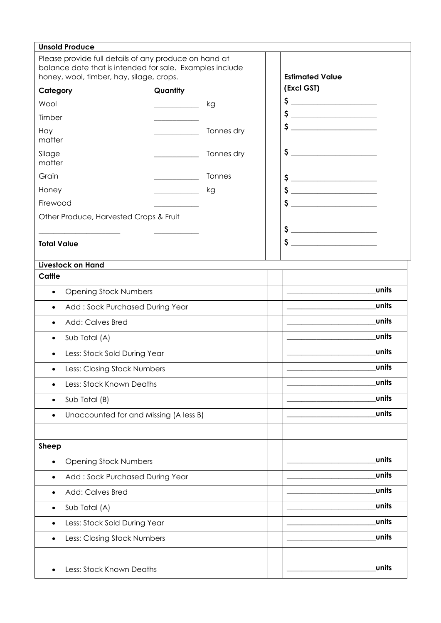| <b>Unsold Produce</b>                                                                                                                                         |                              |            |                                                                                                                                                                                                                                                                                                                                                                     |  |
|---------------------------------------------------------------------------------------------------------------------------------------------------------------|------------------------------|------------|---------------------------------------------------------------------------------------------------------------------------------------------------------------------------------------------------------------------------------------------------------------------------------------------------------------------------------------------------------------------|--|
| Please provide full details of any produce on hand at<br>balance date that is intended for sale. Examples include<br>honey, wool, timber, hay, silage, crops. |                              |            | <b>Estimated Value</b>                                                                                                                                                                                                                                                                                                                                              |  |
| Category                                                                                                                                                      | Quantity                     |            | (Excl GST)                                                                                                                                                                                                                                                                                                                                                          |  |
| Wool                                                                                                                                                          | kg                           |            | $\begin{picture}(20,10) \put(0,0){\line(1,0){10}} \put(15,0){\line(1,0){10}} \put(15,0){\line(1,0){10}} \put(15,0){\line(1,0){10}} \put(15,0){\line(1,0){10}} \put(15,0){\line(1,0){10}} \put(15,0){\line(1,0){10}} \put(15,0){\line(1,0){10}} \put(15,0){\line(1,0){10}} \put(15,0){\line(1,0){10}} \put(15,0){\line(1,0){10}} \put(15,0){\line(1$                 |  |
| Timber                                                                                                                                                        |                              |            |                                                                                                                                                                                                                                                                                                                                                                     |  |
| Hay<br>matter                                                                                                                                                 |                              | Tonnes dry | $\sim$                                                                                                                                                                                                                                                                                                                                                              |  |
| Silage<br>matter                                                                                                                                              |                              | Tonnes dry |                                                                                                                                                                                                                                                                                                                                                                     |  |
| Grain                                                                                                                                                         |                              | Tonnes     | $\begin{picture}(20,10) \put(0,0){\line(1,0){10}} \put(15,0){\line(1,0){10}} \put(15,0){\line(1,0){10}} \put(15,0){\line(1,0){10}} \put(15,0){\line(1,0){10}} \put(15,0){\line(1,0){10}} \put(15,0){\line(1,0){10}} \put(15,0){\line(1,0){10}} \put(15,0){\line(1,0){10}} \put(15,0){\line(1,0){10}} \put(15,0){\line(1,0){10}} \put(15,0){\line(1$                 |  |
| Honey                                                                                                                                                         | kg                           |            | $\begin{array}{c c c c c} \mathsf{S} & \text{if} & \mathsf{S} & \mathsf{S} & \mathsf{S} & \mathsf{S} \\ \hline \end{array}$                                                                                                                                                                                                                                         |  |
| Firewood                                                                                                                                                      |                              |            | $\begin{picture}(20,10) \put(0,0){\vector(1,0){100}} \put(15,0){\vector(1,0){100}} \put(15,0){\vector(1,0){100}} \put(15,0){\vector(1,0){100}} \put(15,0){\vector(1,0){100}} \put(15,0){\vector(1,0){100}} \put(15,0){\vector(1,0){100}} \put(15,0){\vector(1,0){100}} \put(15,0){\vector(1,0){100}} \put(15,0){\vector(1,0){100}} \put(15,0){\vector(1,0){100}} \$ |  |
| Other Produce, Harvested Crops & Fruit                                                                                                                        |                              |            |                                                                                                                                                                                                                                                                                                                                                                     |  |
|                                                                                                                                                               |                              |            | $\begin{picture}(20,10) \put(0,0){\line(1,0){10}} \put(15,0){\line(1,0){10}} \put(15,0){\line(1,0){10}} \put(15,0){\line(1,0){10}} \put(15,0){\line(1,0){10}} \put(15,0){\line(1,0){10}} \put(15,0){\line(1,0){10}} \put(15,0){\line(1,0){10}} \put(15,0){\line(1,0){10}} \put(15,0){\line(1,0){10}} \put(15,0){\line(1,0){10}} \put(15,0){\line(1$                 |  |
| <b>Total Value</b>                                                                                                                                            |                              |            | $\sim$                                                                                                                                                                                                                                                                                                                                                              |  |
| <b>Livestock on Hand</b>                                                                                                                                      |                              |            |                                                                                                                                                                                                                                                                                                                                                                     |  |
| Cattle                                                                                                                                                        |                              |            |                                                                                                                                                                                                                                                                                                                                                                     |  |
| <b>Opening Stock Numbers</b><br>$\bullet$                                                                                                                     |                              |            | units                                                                                                                                                                                                                                                                                                                                                               |  |
| Add: Sock Purchased During Year<br>$\bullet$                                                                                                                  |                              |            | units                                                                                                                                                                                                                                                                                                                                                               |  |
| <b>Add: Calves Bred</b><br>$\bullet$                                                                                                                          |                              |            | units                                                                                                                                                                                                                                                                                                                                                               |  |
| Sub Total (A)<br>$\bullet$                                                                                                                                    |                              |            | units                                                                                                                                                                                                                                                                                                                                                               |  |
| Less: Stock Sold During Year<br>$\bullet$                                                                                                                     |                              |            | units                                                                                                                                                                                                                                                                                                                                                               |  |
| Less: Closing Stock Numbers<br>$\bullet$                                                                                                                      |                              |            | units                                                                                                                                                                                                                                                                                                                                                               |  |
| Less: Stock Known Deaths<br>٠                                                                                                                                 |                              |            | units                                                                                                                                                                                                                                                                                                                                                               |  |
| Sub Total (B)<br>$\bullet$                                                                                                                                    |                              |            | units                                                                                                                                                                                                                                                                                                                                                               |  |
| Unaccounted for and Missing (A less B)                                                                                                                        |                              |            | units                                                                                                                                                                                                                                                                                                                                                               |  |
|                                                                                                                                                               |                              |            |                                                                                                                                                                                                                                                                                                                                                                     |  |
| <b>Sheep</b>                                                                                                                                                  |                              |            |                                                                                                                                                                                                                                                                                                                                                                     |  |
| <b>Opening Stock Numbers</b><br>$\bullet$                                                                                                                     |                              |            | units                                                                                                                                                                                                                                                                                                                                                               |  |
| Add: Sock Purchased During Year<br>٠                                                                                                                          |                              |            | units                                                                                                                                                                                                                                                                                                                                                               |  |
| <b>Add: Calves Bred</b><br>٠                                                                                                                                  |                              |            | units                                                                                                                                                                                                                                                                                                                                                               |  |
| Sub Total (A)<br>$\bullet$                                                                                                                                    |                              |            | units                                                                                                                                                                                                                                                                                                                                                               |  |
| $\bullet$                                                                                                                                                     | Less: Stock Sold During Year |            | units                                                                                                                                                                                                                                                                                                                                                               |  |
| Less: Closing Stock Numbers                                                                                                                                   |                              |            | units                                                                                                                                                                                                                                                                                                                                                               |  |
|                                                                                                                                                               |                              |            |                                                                                                                                                                                                                                                                                                                                                                     |  |
| Less: Stock Known Deaths<br>$\bullet$                                                                                                                         |                              |            | units                                                                                                                                                                                                                                                                                                                                                               |  |